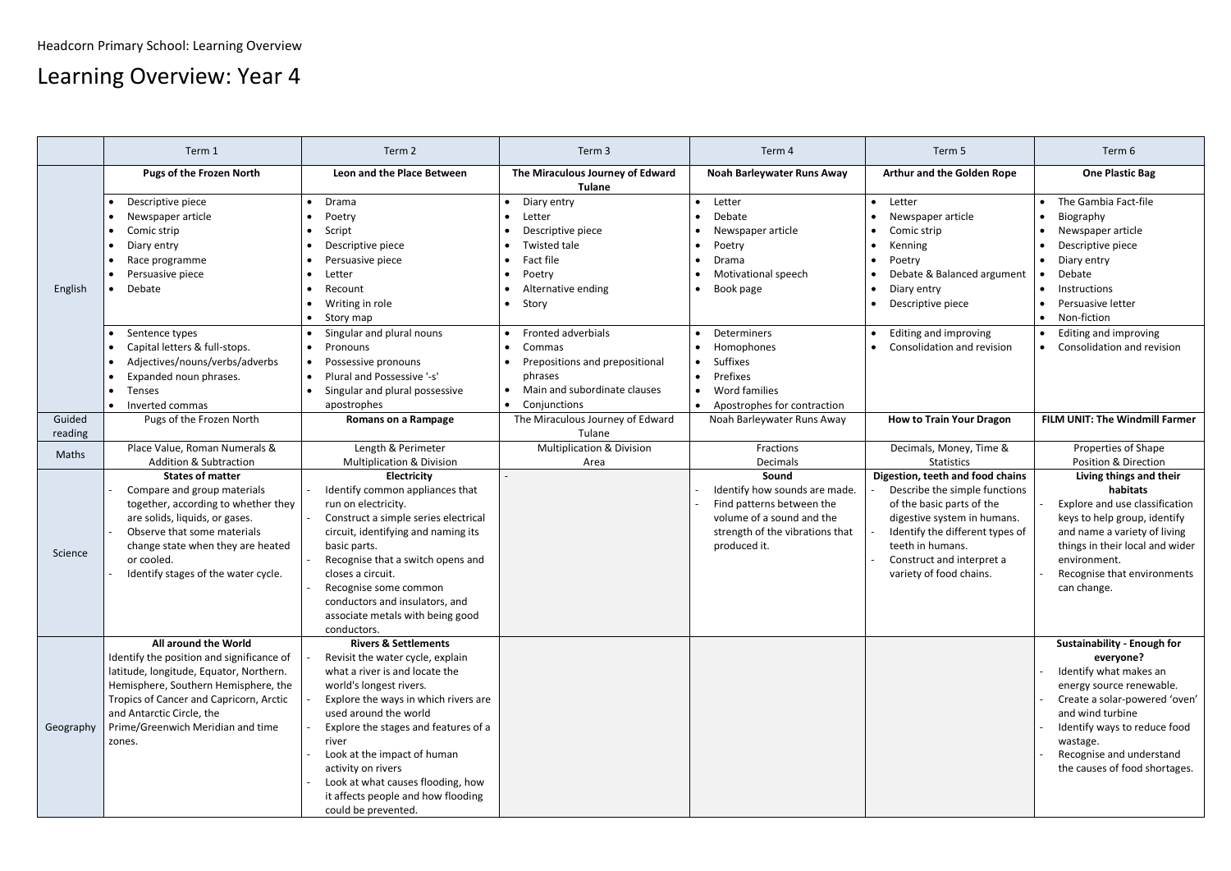## Learning Overview: Year 4

|                   | Term 1                                                                                                                                                                                                                                                                             | Term 2                                                                                                                                                                                                                                                                                                                                                                                                    | Term 3                                                                                                                                                                                    | Term 4                                                                                                                                              | Term 5                                                                                                                                                                                                                                       | Term 6                                                                                                                                                                                                                                                                |
|-------------------|------------------------------------------------------------------------------------------------------------------------------------------------------------------------------------------------------------------------------------------------------------------------------------|-----------------------------------------------------------------------------------------------------------------------------------------------------------------------------------------------------------------------------------------------------------------------------------------------------------------------------------------------------------------------------------------------------------|-------------------------------------------------------------------------------------------------------------------------------------------------------------------------------------------|-----------------------------------------------------------------------------------------------------------------------------------------------------|----------------------------------------------------------------------------------------------------------------------------------------------------------------------------------------------------------------------------------------------|-----------------------------------------------------------------------------------------------------------------------------------------------------------------------------------------------------------------------------------------------------------------------|
|                   | <b>Pugs of the Frozen North</b>                                                                                                                                                                                                                                                    | Leon and the Place Between                                                                                                                                                                                                                                                                                                                                                                                | The Miraculous Journey of Edward<br><b>Tulane</b>                                                                                                                                         | <b>Noah Barleywater Runs Away</b>                                                                                                                   | <b>Arthur and the Golden Rope</b>                                                                                                                                                                                                            | <b>One Plastic Bag</b>                                                                                                                                                                                                                                                |
| English           | Descriptive piece<br>Newspaper article<br>Comic strip<br>Diary entry<br>Race programme<br>Persuasive piece<br>Debate                                                                                                                                                               | Drama<br>$\bullet$<br>Poetry<br>Script<br>$\bullet$<br>Descriptive piece<br>$\bullet$<br>Persuasive piece<br>$\bullet$<br>Letter<br>$\bullet$<br>Recount<br>Writing in role<br>Story map<br>$\bullet$                                                                                                                                                                                                     | $\bullet$ Diary entry<br>• Letter<br>Descriptive piece<br><b>Twisted tale</b><br>$\bullet$<br>Fact file<br>$\bullet$<br>Poetry<br>$\bullet$<br>Alternative ending<br>$\bullet$<br>• Story | Letter<br>$\bullet$<br>Debate<br>Newspaper article<br>Poetry<br>$\bullet$<br>Drama<br><b>Motivational speech</b><br>Book page                       | Letter<br>$\bullet$<br>Newspaper article<br>Comic strip<br>Kenning<br>Poetry<br>Debate & Balanced argument<br>Diary entry<br>Descriptive piece                                                                                               | The Gambia Fact-file<br>$\bullet$<br>Biography<br>$\bullet$<br>Newspaper article<br>$\bullet$<br>Descriptive piece<br>Diary entry<br>$\bullet$<br>Debate<br>Instructions<br>Persuasive letter<br>Non-fiction<br>$\bullet$                                             |
|                   | Sentence types<br>Capital letters & full-stops.<br>Adjectives/nouns/verbs/adverbs<br>Expanded noun phrases.<br>Tenses<br>Inverted commas<br>$\bullet$                                                                                                                              | Singular and plural nouns<br>Pronouns<br>$\bullet$<br>Possessive pronouns<br>$\bullet$<br>Plural and Possessive '-s'<br>Singular and plural possessive<br>apostrophes                                                                                                                                                                                                                                     | • Fronted adverbials<br>• Commas<br>• Prepositions and prepositional<br>phrases<br>• Main and subordinate clauses<br>• Conjunctions                                                       | Determiners<br>Homophones<br><b>Suffixes</b><br>Prefixes<br>Word families<br>Apostrophes for contraction                                            | Editing and improving<br>Consolidation and revision                                                                                                                                                                                          | <b>Editing and improving</b><br>$\bullet$<br>• Consolidation and revision                                                                                                                                                                                             |
| Guided<br>reading | Pugs of the Frozen North                                                                                                                                                                                                                                                           | <b>Romans on a Rampage</b>                                                                                                                                                                                                                                                                                                                                                                                | The Miraculous Journey of Edward<br>Tulane                                                                                                                                                | Noah Barleywater Runs Away                                                                                                                          | <b>How to Train Your Dragon</b>                                                                                                                                                                                                              | FILM UNIT: The Windmill Farmer                                                                                                                                                                                                                                        |
| Maths             | Place Value, Roman Numerals &<br><b>Addition &amp; Subtraction</b>                                                                                                                                                                                                                 | Length & Perimeter<br><b>Multiplication &amp; Division</b>                                                                                                                                                                                                                                                                                                                                                | <b>Multiplication &amp; Division</b><br>Area                                                                                                                                              | Fractions<br>Decimals                                                                                                                               | Decimals, Money, Time &<br><b>Statistics</b>                                                                                                                                                                                                 | Properties of Shape<br><b>Position &amp; Direction</b>                                                                                                                                                                                                                |
| Science           | <b>States of matter</b><br>Compare and group materials<br>together, according to whether they<br>are solids, liquids, or gases.<br>Observe that some materials<br>change state when they are heated<br>or cooled.<br>Identify stages of the water cycle.                           | <b>Electricity</b><br>Identify common appliances that<br>run on electricity.<br>Construct a simple series electrical<br>circuit, identifying and naming its<br>basic parts.<br>Recognise that a switch opens and<br>closes a circuit.<br>Recognise some common<br>conductors and insulators, and<br>associate metals with being good<br>conductors.                                                       |                                                                                                                                                                                           | Sound<br>Identify how sounds are made.<br>Find patterns between the<br>volume of a sound and the<br>strength of the vibrations that<br>produced it. | Digestion, teeth and food chains<br>Describe the simple functions<br>of the basic parts of the<br>digestive system in humans.<br>Identify the different types of<br>teeth in humans.<br>Construct and interpret a<br>variety of food chains. | Living things and their<br>habitats<br>Explore and use classification<br>keys to help group, identify<br>and name a variety of living<br>things in their local and wider<br>environment.<br>Recognise that environments<br>can change.                                |
| Geography         | <b>All around the World</b><br>Identify the position and significance of<br>latitude, longitude, Equator, Northern.<br>Hemisphere, Southern Hemisphere, the<br>Tropics of Cancer and Capricorn, Arctic<br>and Antarctic Circle, the<br>Prime/Greenwich Meridian and time<br>zones. | <b>Rivers &amp; Settlements</b><br>Revisit the water cycle, explain<br>what a river is and locate the<br>world's longest rivers.<br>Explore the ways in which rivers are<br>used around the world<br>Explore the stages and features of a<br>river<br>Look at the impact of human<br>activity on rivers<br>Look at what causes flooding, how<br>it affects people and how flooding<br>could be prevented. |                                                                                                                                                                                           |                                                                                                                                                     |                                                                                                                                                                                                                                              | <b>Sustainability - Enough for</b><br>everyone?<br>Identify what makes an<br>energy source renewable.<br>Create a solar-powered 'oven'  <br>and wind turbine<br>Identify ways to reduce food<br>wastage.<br>Recognise and understand<br>the causes of food shortages. |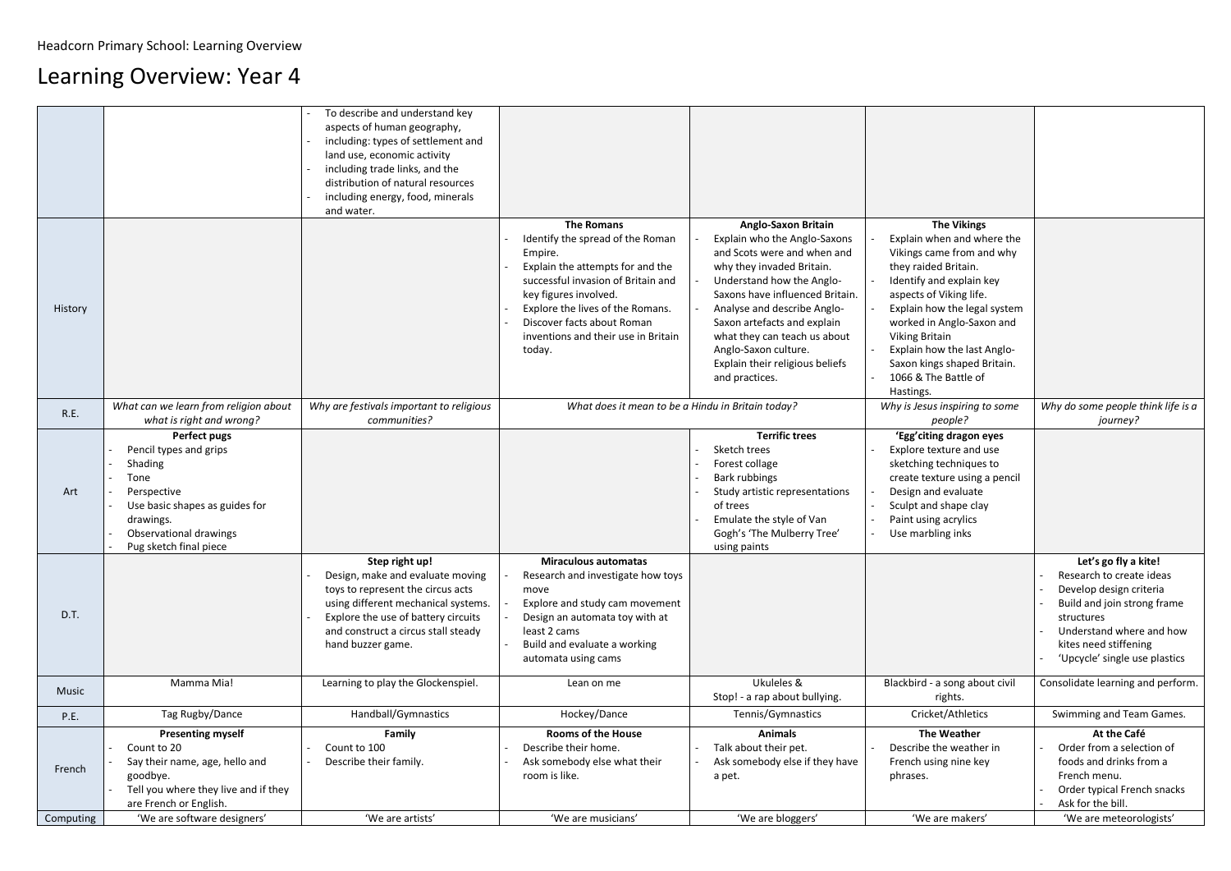## Learning Overview: Year 4

|             |                                                                                                                                                                                    | To describe and understand key<br>aspects of human geography,<br>including: types of settlement and<br>land use, economic activity<br>including trade links, and the<br>distribution of natural resources<br>including energy, food, minerals<br>and water. |                                                                                                                                                                                                                                                                                        |                                                                                                                                                                                                                                                                                                                                                                   |                                                                                                                                                                                                                                                                                                                                                       |                                                                                                                                                                                                                |
|-------------|------------------------------------------------------------------------------------------------------------------------------------------------------------------------------------|-------------------------------------------------------------------------------------------------------------------------------------------------------------------------------------------------------------------------------------------------------------|----------------------------------------------------------------------------------------------------------------------------------------------------------------------------------------------------------------------------------------------------------------------------------------|-------------------------------------------------------------------------------------------------------------------------------------------------------------------------------------------------------------------------------------------------------------------------------------------------------------------------------------------------------------------|-------------------------------------------------------------------------------------------------------------------------------------------------------------------------------------------------------------------------------------------------------------------------------------------------------------------------------------------------------|----------------------------------------------------------------------------------------------------------------------------------------------------------------------------------------------------------------|
| History     |                                                                                                                                                                                    |                                                                                                                                                                                                                                                             | <b>The Romans</b><br>Identify the spread of the Roman<br>Empire.<br>Explain the attempts for and the<br>successful invasion of Britain and<br>key figures involved.<br>Explore the lives of the Romans.<br>Discover facts about Roman<br>inventions and their use in Britain<br>today. | <b>Anglo-Saxon Britain</b><br>Explain who the Anglo-Saxons<br>and Scots were and when and<br>why they invaded Britain.<br>Understand how the Anglo-<br>Saxons have influenced Britain.<br>Analyse and describe Anglo-<br>Saxon artefacts and explain<br>what they can teach us about<br>Anglo-Saxon culture.<br>Explain their religious beliefs<br>and practices. | <b>The Vikings</b><br>Explain when and where the<br>Vikings came from and why<br>they raided Britain.<br>Identify and explain key<br>aspects of Viking life.<br>Explain how the legal system<br>worked in Anglo-Saxon and<br><b>Viking Britain</b><br>Explain how the last Anglo-<br>Saxon kings shaped Britain.<br>1066 & The Battle of<br>Hastings. |                                                                                                                                                                                                                |
| <b>R.E.</b> | What can we learn from religion about<br>what is right and wrong?                                                                                                                  | Why are festivals important to religious<br>communities?                                                                                                                                                                                                    | What does it mean to be a Hindu in Britain today?                                                                                                                                                                                                                                      |                                                                                                                                                                                                                                                                                                                                                                   | Why is Jesus inspiring to some<br>people?                                                                                                                                                                                                                                                                                                             | Why do some people think life i<br>journey?                                                                                                                                                                    |
| Art         | <b>Perfect pugs</b><br>Pencil types and grips<br>Shading<br>Tone<br>Perspective<br>Use basic shapes as guides for<br>drawings.<br>Observational drawings<br>Pug sketch final piece |                                                                                                                                                                                                                                                             |                                                                                                                                                                                                                                                                                        | <b>Terrific trees</b><br>Sketch trees<br>Forest collage<br>Bark rubbings<br>Study artistic representations<br>of trees<br>Emulate the style of Van<br>Gogh's 'The Mulberry Tree'<br>using paints                                                                                                                                                                  | 'Egg' citing dragon eyes<br>Explore texture and use<br>sketching techniques to<br>create texture using a pencil<br>Design and evaluate<br>Sculpt and shape clay<br>Paint using acrylics<br>Use marbling inks                                                                                                                                          |                                                                                                                                                                                                                |
| D.T.        |                                                                                                                                                                                    | Step right up!<br>Design, make and evaluate moving<br>toys to represent the circus acts<br>using different mechanical systems.<br>Explore the use of battery circuits<br>and construct a circus stall steady<br>hand buzzer game.                           | <b>Miraculous automatas</b><br>Research and investigate how toys<br>move<br>Explore and study cam movement<br>Design an automata toy with at<br>least 2 cams<br>Build and evaluate a working<br>automata using cams                                                                    |                                                                                                                                                                                                                                                                                                                                                                   |                                                                                                                                                                                                                                                                                                                                                       | Let's go fly a kite!<br>Research to create ideas<br>Develop design criteria<br>Build and join strong frame<br>structures<br>Understand where and how<br>kites need stiffening<br>'Upcycle' single use plastics |
| Music       | Mamma Mia!                                                                                                                                                                         | Learning to play the Glockenspiel.                                                                                                                                                                                                                          | Lean on me                                                                                                                                                                                                                                                                             | Ukuleles &<br>Stop! - a rap about bullying.                                                                                                                                                                                                                                                                                                                       | Blackbird - a song about civil<br>rights.                                                                                                                                                                                                                                                                                                             | Consolidate learning and perfor                                                                                                                                                                                |
| <b>P.E.</b> | Tag Rugby/Dance                                                                                                                                                                    | Handball/Gymnastics                                                                                                                                                                                                                                         | Hockey/Dance                                                                                                                                                                                                                                                                           | Tennis/Gymnastics                                                                                                                                                                                                                                                                                                                                                 | Cricket/Athletics                                                                                                                                                                                                                                                                                                                                     | Swimming and Team Games.                                                                                                                                                                                       |
| French      | <b>Presenting myself</b><br>Count to 20<br>Say their name, age, hello and<br>goodbye.<br>Tell you where they live and if they<br>are French or English.                            | <b>Family</b><br>Count to 100<br>Describe their family.<br>'We are artists'                                                                                                                                                                                 | <b>Rooms of the House</b><br>Describe their home.<br>Ask somebody else what their<br>room is like.<br>'We are musicians'                                                                                                                                                               | <b>Animals</b><br>Talk about their pet.<br>Ask somebody else if they have<br>a pet.                                                                                                                                                                                                                                                                               | <b>The Weather</b><br>Describe the weather in<br>French using nine key<br>phrases.<br>'We are makers'                                                                                                                                                                                                                                                 | At the Café<br>Order from a selection of<br>foods and drinks from a<br>French menu.<br>Order typical French snacks<br>Ask for the bill.<br>'We are meteorologists'                                             |
| Computing   | 'We are software designers'                                                                                                                                                        |                                                                                                                                                                                                                                                             |                                                                                                                                                                                                                                                                                        | 'We are bloggers'                                                                                                                                                                                                                                                                                                                                                 |                                                                                                                                                                                                                                                                                                                                                       |                                                                                                                                                                                                                |

| <b>The Vikings</b><br>Explain when and where the<br>Vikings came from and why<br>they raided Britain.<br>Identify and explain key<br>aspects of Viking life.<br>Explain how the legal system<br>worked in Anglo-Saxon and<br><b>Viking Britain</b><br>Explain how the last Anglo-<br>Saxon kings shaped Britain.<br>1066 & The Battle of<br>Hastings. |                                                                                                                                                                                                                |
|-------------------------------------------------------------------------------------------------------------------------------------------------------------------------------------------------------------------------------------------------------------------------------------------------------------------------------------------------------|----------------------------------------------------------------------------------------------------------------------------------------------------------------------------------------------------------------|
| Why is Jesus inspiring to some<br>people?                                                                                                                                                                                                                                                                                                             | Why do some people think life is a<br>journey?                                                                                                                                                                 |
| 'Egg'citing dragon eyes<br>Explore texture and use<br>sketching techniques to<br>create texture using a pencil<br>Design and evaluate<br>Sculpt and shape clay<br>Paint using acrylics<br>Use marbling inks                                                                                                                                           |                                                                                                                                                                                                                |
|                                                                                                                                                                                                                                                                                                                                                       | Let's go fly a kite!<br>Research to create ideas<br>Develop design criteria<br>Build and join strong frame<br>structures<br>Understand where and how<br>kites need stiffening<br>'Upcycle' single use plastics |
| Blackbird - a song about civil<br>rights.                                                                                                                                                                                                                                                                                                             | Consolidate learning and perform.                                                                                                                                                                              |
| Cricket/Athletics                                                                                                                                                                                                                                                                                                                                     | Swimming and Team Games.                                                                                                                                                                                       |
| <b>The Weather</b><br>Describe the weather in<br>French using nine key<br>phrases.<br>'We are makers'                                                                                                                                                                                                                                                 | At the Café<br>Order from a selection of<br>foods and drinks from a<br>French menu.<br>Order typical French snacks<br>Ask for the bill.<br>'We are meteorologists'                                             |